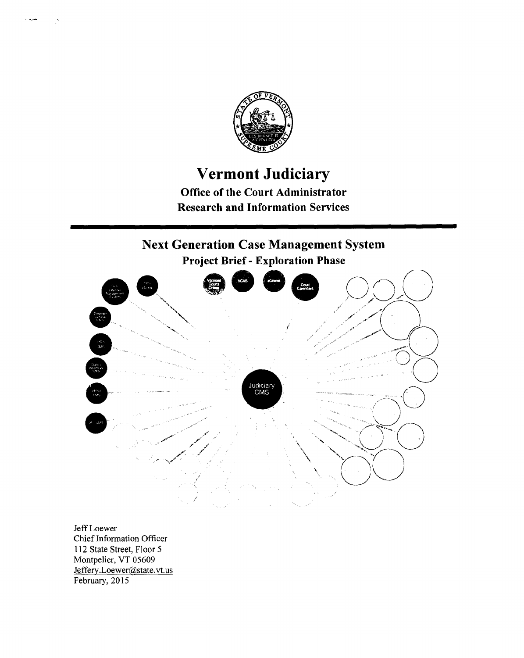

## **Vermont Judiciary**

**Office of the Court Administrator Research and Information Services** 

# **Next Generation Case Management System**



Jeff Loewer Chief Information Officer 112 State Street, Floor 5 Montpelier, VT 05609 Jeffery.Loewer@state.vt.us February, 2015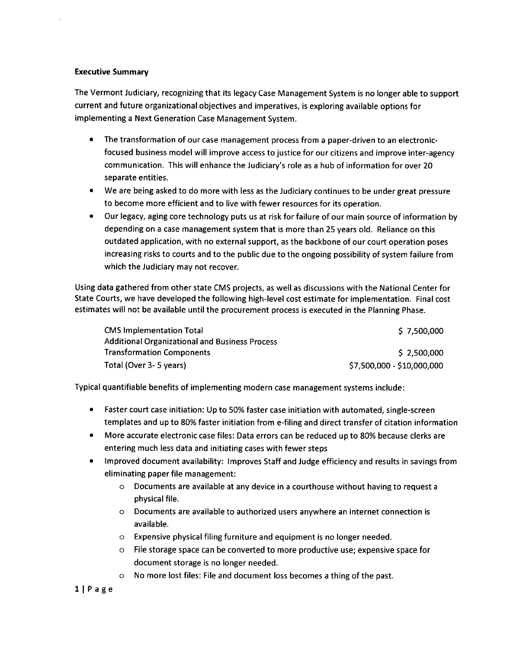### **Executive Summary**

The Vermont Judiciary, recognizing that its legacy Case Management System is no longer able to support current and future organizational objectives and imperatives, is exploring available options for implementing a Next Generation Case Management System.

- The transformation of our case management process from a paper-driven to an electronicfocused business model will improve access to justice for our citizens and improve inter-agency communication. This will enhance the Judiciary's role as a hub of information for over 20 separate entities.
- We are being asked to do more with less as the Judiciary continues to be under great pressure to become more efficient and to live with fewer resources for its operation.
- Our legacy, aging core technology puts us at risk for failure of our main source of information by depending on a case management system that is more than 25 years old. Reliance on this outdated application, with no external support, as the backbone of our court operation poses increasing risks to courts and to the public due to the ongoing possibility of system failure from which the Judiciary may not recover.

Using data gathered from other state CMS projects, as well as discussions with the National Center for State Courts, we have developed the following high-level cost estimate for implementation. Final cost estimates will not be available until the procurement process is executed in the Planning Phase.

| <b>CMS Implementation Total</b>                       | \$7,500,000                |
|-------------------------------------------------------|----------------------------|
| <b>Additional Organizational and Business Process</b> |                            |
| <b>Transformation Components</b>                      | \$2,500,000                |
| Total (Over 3-5 years)                                | \$7,500,000 - \$10,000,000 |

Typical quantifiable benefits of implementing modern case management systems include:

- Faster court case initiation: Up to 50% faster case initiation with automated, single-screen templates and up to 80% faster initiation from e-filing and direct transfer of citation information
- More accurate electronic case files: Data errors can be reduced up to 80% because clerks are entering much less data and initiating cases with fewer steps
- Improved document availability: Improves Staff and Judge efficiency and results in savings from eliminating paper file management:
	- o Documents are available at any device in a courthouse without having to request a physical file.
	- o Documents are available to authorized users anywhere an internet connection is available.
	- o Expensive physical filing furniture and equipment is no longer needed.
	- o File storage space can be converted to more productive use; expensive space for document storage is no longer needed.
	- o No more lost files: File and document loss becomes a thing of the past.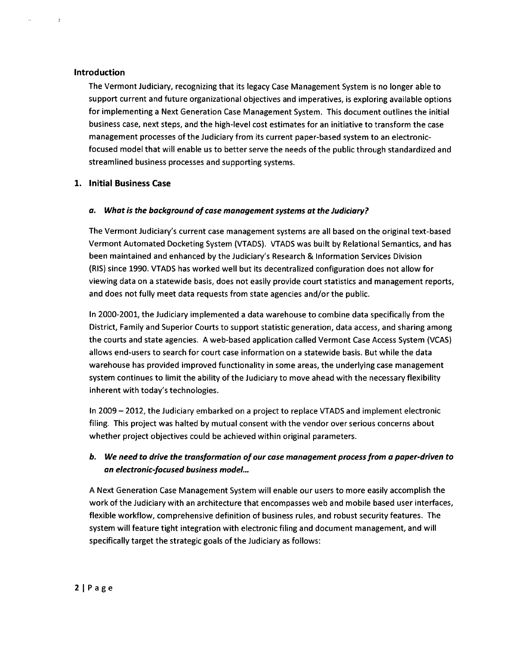### **Introduction**

 $\mathbf{d}$ 

The Vermont Judiciary, recognizing that its legacy Case Management System is no longer able to support current and future organizational objectives and imperatives, is exploring available options for implementing a Next Generation Case Management System. This document outlines the initial business case, next steps, and the high-level cost estimates for an initiative to transform the case management processes of the Judiciary from its current paper-based system to an electronicfocused model that will enable us to better serve the needs of the public through standardized and streamlined business processes and supporting systems.

### **1. Initial Business Case**

### *a. What is the background of case management systems at the Judiciary?*

The Vermont Judiciary's current case management systems are all based on the original text-based Vermont Automated Docketing System (VTADS). VTADS was built by Relational Semantics, and has been maintained and enhanced by the Judiciary's Research & Information Services Division (RIS) since 1990. VTADS has worked well but its decentralized configuration does not allow for viewing data on a statewide basis, does not easily provide court statistics and management reports, and does not fully meet data requests from state agencies and/or the public.

In 2000-2001, the Judiciary implemented a data warehouse to combine data specifically from the District, Family and Superior Courts to support statistic generation, data access, and sharing among the courts and state agencies. A web-based application called Vermont Case Access System (VCAS) allows end-users to search for court case information on a statewide basis. But while the data warehouse has provided improved functionality in some areas, the underlying case management system continues to limit the ability of the Judiciary to move ahead with the necessary flexibility inherent with today's technologies.

In 2009— 2012, the Judiciary embarked on a project to replace VTADS and implement electronic filing. This project was halted by mutual consent with the vendor over serious concerns about whether project objectives could be achieved within original parameters.

### *b. We need to drive the transformation of our case management process from a paper-driven to an electronic-focused business model...*

A Next Generation Case Management System will enable our users to more easily accomplish the work of the Judiciary with an architecture that encompasses web and mobile based user interfaces, flexible workflow, comprehensive definition of business rules, and robust security features. The system will feature tight integration with electronic filing and document management, and will specifically target the strategic goals of the Judiciary as follows: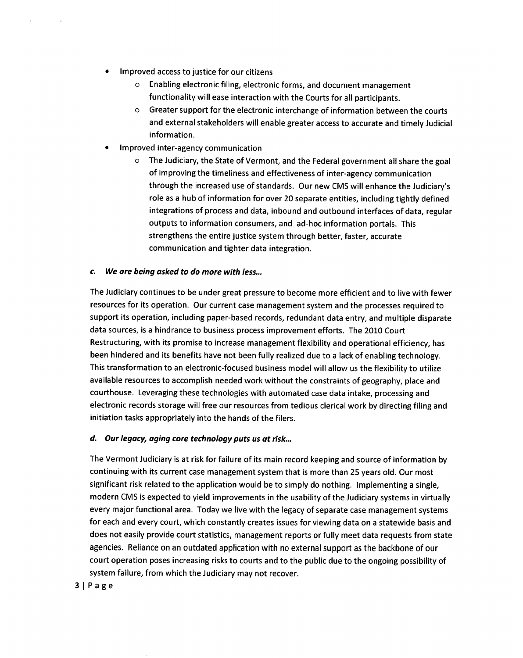- Improved access to justice for our citizens
	- o Enabling electronic filing, electronic forms, and document management functionality will ease interaction with the Courts for all participants.
	- o Greater support for the electronic interchange of information between the courts and external stakeholders will enable greater access to accurate and timely Judicial information.
- Improved inter-agency communication
	- o The Judiciary, the State of Vermont, and the Federal government all share the goal of improving the timeliness and effectiveness of inter-agency communication through the increased use of standards. Our new CMS will enhance the Judiciary's role as a hub of information for over 20 separate entities, including tightly defined integrations of process and data, inbound and outbound interfaces of data, regular outputs to information consumers, and ad-hoc information portals. This strengthens the entire justice system through better, faster, accurate communication and tighter data integration.

### *c. We are being asked to do more with less...*

The Judiciary continues to be under great pressure to become more efficient and to live with fewer resources for its operation. Our current case management system and the processes required to support its operation, including paper-based records, redundant data entry, and multiple disparate data sources, is a hindrance to business process improvement efforts. The 2010 Court Restructuring, with its promise to increase management flexibility and operational efficiency, has been hindered and its benefits have not been fully realized due to a lack of enabling technology. This transformation to an electronic-focused business model will allow us the flexibility to utilize available resources to accomplish needed work without the constraints of geography, place and courthouse. Leveraging these technologies with automated case data intake, processing and electronic records storage will free our resources from tedious clerical work by directing filing and initiation tasks appropriately into the hands of the filers.

### *d. Our legacy, aging core technology puts us at risk...*

The Vermont Judiciary is at risk for failure of its main record keeping and source of information by continuing with its current case management system that is more than 25 years old. Our most significant risk related to the application would be to simply do nothing. Implementing a single, modern CMS is expected to yield improvements in the usability of the Judiciary systems in virtually every major functional area. Today we live with the legacy of separate case management systems for each and every court, which constantly creates issues for viewing data on a statewide basis and does not easily provide court statistics, management reports or fully meet data requests from state agencies. Reliance on an outdated application with no external support as the backbone of our court operation poses increasing risks to courts and to the public due to the ongoing possibility of system failure, from which the Judiciary may not recover.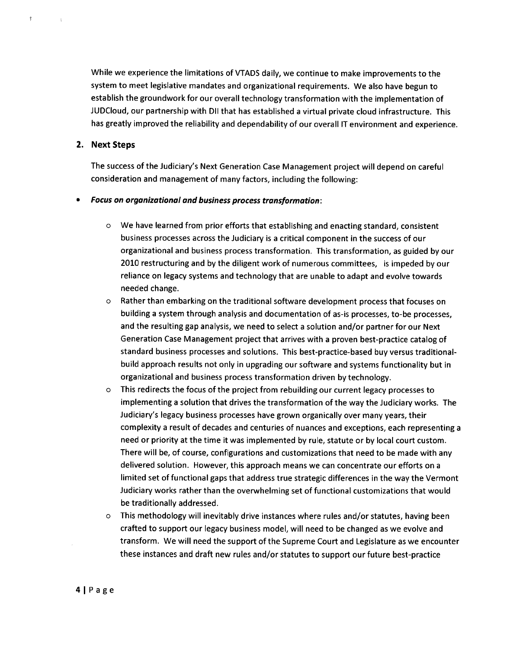While we experience the limitations of VTADS daily, we continue to make improvements to the system to meet legislative mandates and organizational requirements. We also have begun to establish the groundwork for our overall technology transformation with the implementation of JUDCloud, our partnership with DII that has established a virtual private cloud infrastructure. This has greatly improved the reliability and dependability of our overall IT environment and experience.

### **2. Next Steps**

 $\tilde{\mathbf{y}}$ 

The success of the Judiciary's Next Generation Case Management project will depend on careful consideration and management of many factors, including the following:

### *• Focus on organizational and business process transformation:*

- $\circ$  We have learned from prior efforts that establishing and enacting standard, consistent business processes across the Judiciary is a critical component in the success of our organizational and business process transformation. This transformation, as guided by our 2010 restructuring and by the diligent work of numerous committees, is impeded by our reliance on legacy systems and technology that are unable to adapt and evolve towards needed change.
- o Rather than embarking on the traditional software development process that focuses on building a system through analysis and documentation of as-is processes, to-be processes, and the resulting gap analysis, we need to select a solution and/or partner for our Next Generation Case Management project that arrives with a proven best-practice catalog of standard business processes and solutions. This best-practice-based buy versus traditionalbuild approach results not only in upgrading our software and systems functionality but in organizational and business process transformation driven by technology.
- o This redirects the focus of the project from rebuilding our current legacy processes to implementing a solution that drives the transformation of the way the Judiciary works. The Judiciary's legacy business processes have grown organically over many years, their complexity a result of decades and centuries of nuances and exceptions, each representing a need or priority at the time it was implemented by rule, statute or by local court custom. There will be, of course, configurations and customizations that need to be made with any delivered solution. However, this approach means we can concentrate our efforts on a limited set of functional gaps that address true strategic differences in the way the Vermont Judiciary works rather than the overwhelming set of functional customizations that would be traditionally addressed.
- o This methodology will inevitably drive instances where rules and/or statutes, having been crafted to support our legacy business model, will need to be changed as we evolve and transform. We will need the support of the Supreme Court and Legislature as we encounter these instances and draft new rules and/or statutes to support our future best-practice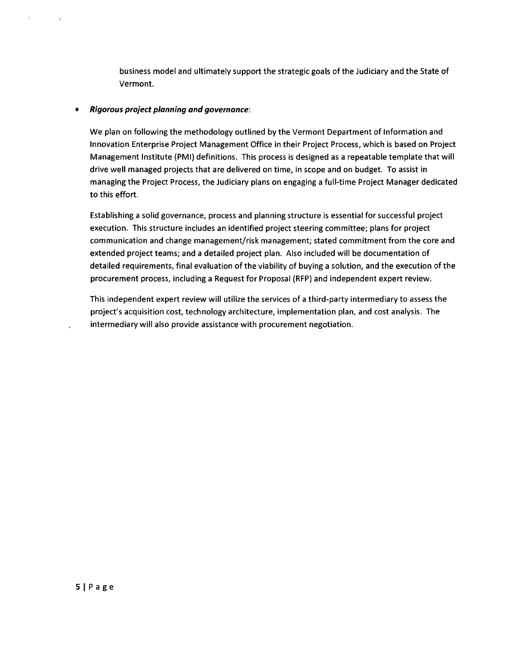business model and ultimately support the strategic goals of the Judiciary and the State of Vermont.

### *• Rigorous project planning and governance:*

Ÿ.

We plan on following the methodology outlined by the Vermont Department of Information and Innovation Enterprise Project Management Office in their Project Process, which is based on Project Management Institute (PM!) definitions. This process is designed as a repeatable template that will drive well managed projects that are delivered on time, in scope and on budget. To assist in managing the Project Process, the Judiciary plans on engaging a full-time Project Manager dedicated to this effort.

Establishing a solid governance, process and planning structure is essential for successful project execution. This structure includes an identified project steering committee; plans for project communication and change management/risk management; stated commitment from the core and extended project teams; and a detailed project plan. Also included will be documentation of detailed requirements, final evaluation of the viability of buying a solution, and the execution of the procurement process, including a Request for Proposal (RFP) and independent expert review.

This independent expert review will utilize the services of a third-party intermediary to assess the project's acquisition cost, technology architecture, implementation plan, and cost analysis. The intermediary will also provide assistance with procurement negotiation.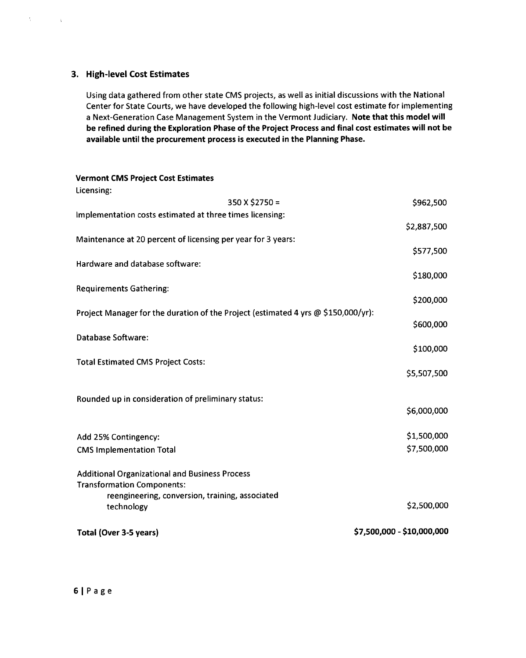### **3. High-level Cost Estimates**

 $\frac{1}{3}$  .

 $\sim$   $\lambda$ 

Using data gathered from other state CMS projects, as well as initial discussions with the National Center for State Courts, we have developed the following high-level cost estimate for implementing a Next-Generation Case Management System in the Vermont Judiciary. **Note that this model will be refined during the Exploration Phase of the Project Process and final cost estimates will not be available until the procurement process is executed in the Planning Phase.** 

### **Vermont CMS Project Cost Estimates**

| Licensing:                                                                               |                            |
|------------------------------------------------------------------------------------------|----------------------------|
| $350$ X \$2750 =                                                                         | \$962,500                  |
| Implementation costs estimated at three times licensing:                                 |                            |
|                                                                                          | \$2,887,500                |
| Maintenance at 20 percent of licensing per year for 3 years:                             |                            |
| Hardware and database software:                                                          | \$577,500                  |
|                                                                                          | \$180,000                  |
| <b>Requirements Gathering:</b>                                                           |                            |
|                                                                                          | \$200,000                  |
| Project Manager for the duration of the Project (estimated 4 yrs $\omega$ \$150,000/yr): |                            |
|                                                                                          | \$600,000                  |
| Database Software:                                                                       |                            |
|                                                                                          | \$100,000                  |
| <b>Total Estimated CMS Project Costs:</b>                                                | \$5,507,500                |
|                                                                                          |                            |
| Rounded up in consideration of preliminary status:                                       |                            |
|                                                                                          | \$6,000,000                |
|                                                                                          |                            |
| Add 25% Contingency:                                                                     | \$1,500,000                |
| <b>CMS Implementation Total</b>                                                          | \$7,500,000                |
|                                                                                          |                            |
| <b>Additional Organizational and Business Process</b>                                    |                            |
| <b>Transformation Components:</b><br>reengineering, conversion, training, associated     |                            |
| technology                                                                               | \$2,500,000                |
|                                                                                          |                            |
| Total (Over 3-5 years)                                                                   | \$7,500,000 - \$10,000,000 |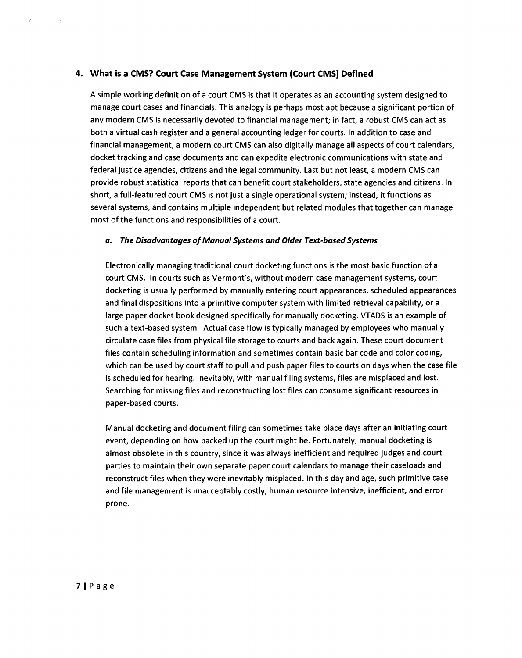### **4. What is a CMS? Court Case Management System (Court CMS) Defined**

A simple working definition of a court CMS is that it operates as an accounting system designed to manage court cases and financials. This analogy is perhaps most apt because a significant portion of any modern CMS is necessarily devoted to financial management; in fact, a robust CMS can act as both a virtual cash register and a general accounting ledger for courts. In addition to case and financial management, a modern court CMS can also digitally manage all aspects of court calendars, docket tracking and case documents and can expedite electronic communications with state and federal justice agencies, citizens and the legal community. Last but not least, a modern CMS can provide robust statistical reports that can benefit court stakeholders, state agencies and citizens. In short, a full-featured court CMS is not just a single operational system; instead, it functions as several systems, and contains multiple independent but related modules that together can manage most of the functions and responsibilities of a court.

### **a. The Disadvantages of Manual Systems and Older Text-based Systems**

Electronically managing traditional court docketing functions is the most basic function of a court CMS. In courts such as Vermont's, without modern case management systems, court docketing is usually performed by manually entering court appearances, scheduled appearances and final dispositions into a primitive computer system with limited retrieval capability, or a large paper docket book designed specifically for manually docketing. VTADS is an example of such a text-based system. Actual case flow is typically managed by employees who manually circulate case files from physical file storage to courts and back again. These court document files contain scheduling information and sometimes contain basic bar code and color coding, which can be used by court staff to pull and push paper files to courts on days when the case file is scheduled for hearing. Inevitably, with manual filing systems, files are misplaced and lost. Searching for missing files and reconstructing lost files can consume significant resources in paper-based courts.

Manual docketing and document filing can sometimes take place days after an initiating court event, depending on how backed up the court might be. Fortunately, manual docketing is almost obsolete in this country, since it was always inefficient and required judges and court parties to maintain their own separate paper court calendars to manage their caseloads and reconstruct files when they were inevitably misplaced. In this day and age, such primitive case and file management is unacceptably costly, human resource intensive, inefficient, and error prone.

 $\xi$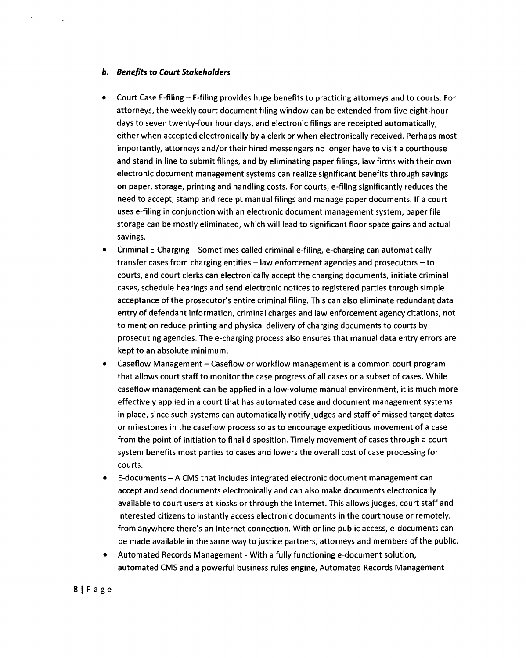#### **b. Benefits to Court Stakeholders**

- Court Case E-filing E-filing provides huge benefits to practicing attorneys and to courts. For attorneys, the weekly court document filing window can be extended from five eight-hour days to seven twenty-four hour days, and electronic filings are receipted automatically, either when accepted electronically by a clerk or when electronically received. Perhaps most importantly, attorneys and/or their hired messengers no longer have to visit a courthouse and stand in line to submit filings, and by eliminating paper filings, law firms with their own electronic document management systems can realize significant benefits through savings on paper, storage, printing and handling costs. For courts, e-filing significantly reduces the need to accept, stamp and receipt manual filings and manage paper documents. If a court uses e-filing in conjunction with an electronic document management system, paper file storage can be mostly eliminated, which will lead to significant floor space gains and actual savings.
- Criminal E-Charging —Sometimes called criminal e-filing, e-charging can automatically transfer cases from charging entities — law enforcement agencies and prosecutors — to courts, and court clerks can electronically accept the charging documents, initiate criminal cases, schedule hearings and send electronic notices to registered parties through simple acceptance of the prosecutor's entire criminal filing. This can also eliminate redundant data entry of defendant information, criminal charges and law enforcement agency citations, not to mention reduce printing and physical delivery of charging documents to courts by prosecuting agencies. The e-charging process also ensures that manual data entry errors are kept to an absolute minimum.
- Caseflow Management Caseflow or workflow management is a common court program that allows court staff to monitor the case progress of all cases or a subset of cases. While caseflow management can be applied in a low-volume manual environment, it is much more effectively applied in a court that has automated case and document management systems in place, since such systems can automatically notify judges and staff of missed target dates or milestones in the caseflow process so as to encourage expeditious movement of a case from the point of initiation to final disposition. Timely movement of cases through a court system benefits most parties to cases and lowers the overall cost of case processing for courts.
- E-documents A CMS that includes integrated electronic document management can accept and send documents electronically and can also make documents electronically available to court users at kiosks or through the Internet. This allows judges, court staff and interested citizens to instantly access electronic documents in the courthouse or remotely, from anywhere there's an Internet connection. With online public access, e-documents can be made available in the same way to justice partners, attorneys and members of the public.
- Automated Records Management With a fully functioning e-document solution, automated CMS and a powerful business rules engine, Automated Records Management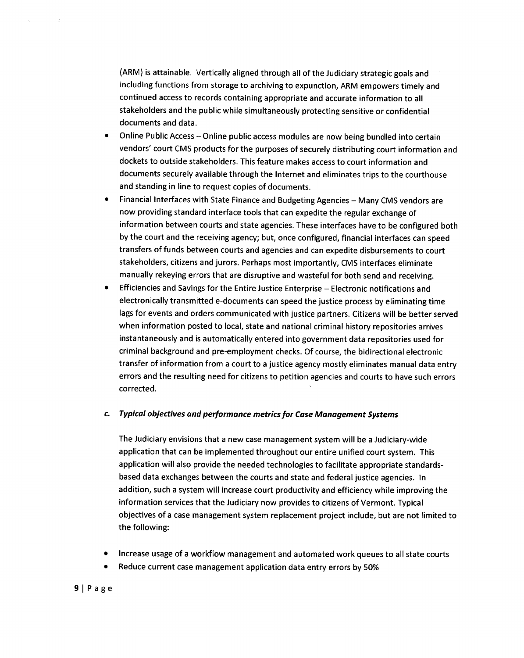(ARM) is attainable. Vertically aligned through all of the Judiciary strategic goals and including functions from storage to archiving to expunction, ARM empowers timely and continued access to records containing appropriate and accurate information to all stakeholders and the public while simultaneously protecting sensitive or confidential documents and data.

- Online Public Access —Online public access modules are now being bundled into certain vendors' court CMS products for the purposes of securely distributing court information and dockets to outside stakeholders. This feature makes access to court information and documents securely available through the Internet and eliminates trips to the courthouse and standing in line to request copies of documents.
- Financial Interfaces with State Finance and Budgeting Agencies Many CMS vendors are now providing standard interface tools that can expedite the regular exchange of information between courts and state agencies. These interfaces have to be configured both by the court and the receiving agency; but, once configured, financial interfaces can speed transfers of funds between courts and agencies and can expedite disbursements to court stakeholders, citizens and jurors. Perhaps most importantly, CMS interfaces eliminate manually rekeying errors that are disruptive and wasteful for both send and receiving.
- Efficiencies and Savings for the Entire Justice Enterprise Electronic notifications and electronically transmitted e-documents can speed the justice process by eliminating time lags for events and orders communicated with justice partners. Citizens will be better served when information posted to local, state and national criminal history repositories arrives instantaneously and is automatically entered into government data repositories used for criminal background and pre-employment checks. Of course, the bidirectional electronic transfer of information from a court to a justice agency mostly eliminates manual data entry errors and the resulting need for citizens to petition agencies and courts to have such errors corrected.

### **c. Typical objectives and performance metrics for Case Management Systems**

The Judiciary envisions that a *new* case management system will be a Judiciary-wide application that can be implemented throughout our entire unified court system. This application will also provide the needed technologies to facilitate appropriate standardsbased data exchanges between the courts and state and federal justice agencies. In addition, such a system will increase court productivity and efficiency while improving the information services that the Judiciary now provides to citizens of Vermont. Typical objectives of a case management system replacement project include, but are not limited to the following:

- Increase usage of a workflow management and automated work queues to all state courts
- Reduce current case management application data entry errors by 50%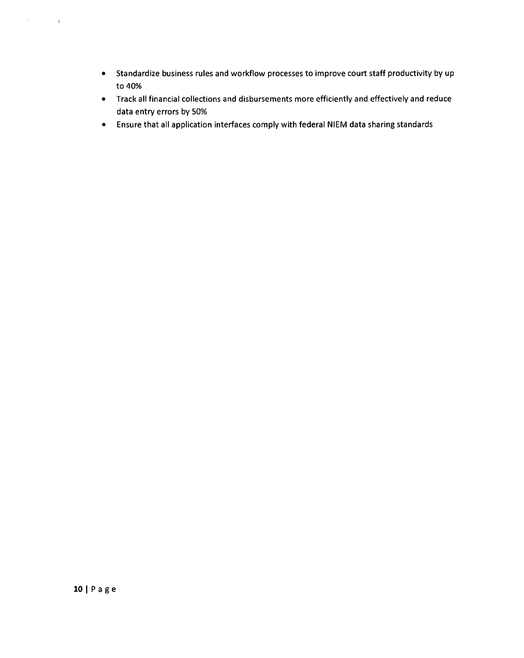- Standardize business rules and workflow processes to improve court staff productivity by up to 40%
- Track all financial collections and disbursements more efficiently and effectively and reduce data entry errors by 50%
- Ensure that all application interfaces comply with federal NIEM data sharing standards

 $\pm$  .

 $\bar{t}$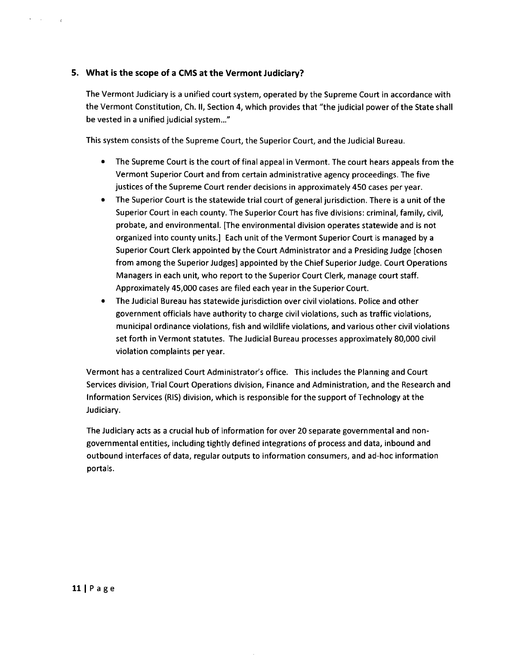### **5. What is the scope of a CMS at the Vermont Judiciary?**

 $\sim 10^7$ 

The Vermont Judiciary is a unified court system, operated by the Supreme Court in accordance with the Vermont Constitution, Ch. **II,** Section 4, which provides that "the judicial power of the State shall be vested in a unified judicial system..."

This system consists of the Supreme Court, the Superior Court, and the Judicial Bureau.

- The Supreme Court is the court of final appeal in Vermont. The court hears appeals from the Vermont Superior Court and from certain administrative agency proceedings. The five justices of the Supreme Court render decisions in approximately 450 cases per year.
- The Superior Court is the statewide trial court of general jurisdiction. There is a unit of the Superior Court in each county. The Superior Court has five divisions: criminal, family, civil, probate, and environmental. [The environmental division operates statewide and is not organized into county units.] Each unit of the Vermont Superior Court is managed by a Superior Court Clerk appointed by the Court Administrator and a Presiding Judge [chosen from among the Superior Judges] appointed by the Chief Superior Judge. Court Operations Managers in each unit, who report to the Superior Court Clerk, manage court staff. Approximately 45,000 cases are filed each year in the Superior Court.
- The Judicial Bureau has statewide jurisdiction over civil violations. Police and other government officials have authority to charge civil violations, such as traffic violations, municipal ordinance violations, fish and wildlife violations, and various other civil violations set forth in Vermont statutes. The Judicial Bureau processes approximately 80,000 civil violation complaints per year.

Vermont has a centralized Court Administrator's office. This includes the Planning and Court Services division, Trial Court Operations division, Finance and Administration, and the Research and Information Services (RIS) division, which is responsible for the support of Technology at the Judiciary.

The Judiciary acts as a crucial hub of information for over 20 separate governmental and nongovernmental entities, including tightly defined integrations of process and data, inbound and outbound interfaces of data, regular outputs to information consumers, and ad-hoc information portals.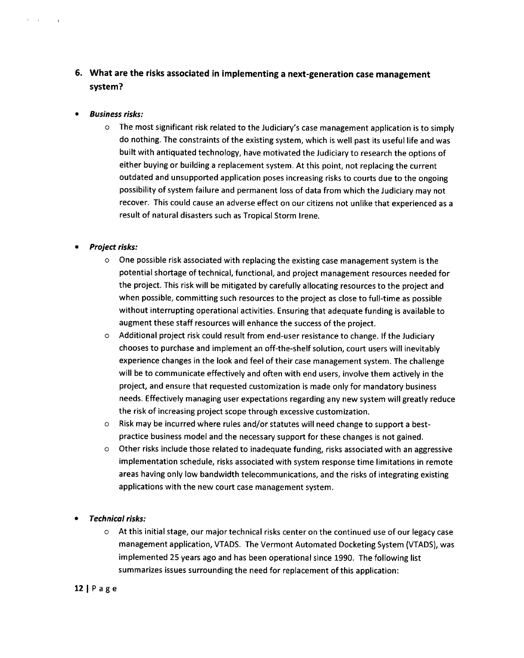### **6. What are the risks associated in implementing a next-generation case management system?**

*• Business risks:* 

**Contractor** 

- $\circ$  The most significant risk related to the Judiciary's case management application is to simply do nothing. The constraints of the existing system, which is well past its useful life and was built with antiquated technology, have motivated the Judiciary to research the options of either buying or building a replacement system. At this point, not replacing the current outdated and unsupported application poses increasing risks to courts due to the ongoing possibility of system failure and permanent loss of data from which the Judiciary may not recover. This could cause an adverse effect on our citizens not unlike that experienced as a result of natural disasters such as Tropical Storm Irene.
- *Project risks:* 
	- $\circ$  One possible risk associated with replacing the existing case management system is the potential shortage of technical, functional, and project management resources needed for the project. This risk will be mitigated by carefully allocating resources to the project and when possible, committing such resources to the project as close to full-time as possible without interrupting operational activities. Ensuring that adequate funding is available to augment these staff resources will enhance the success of the project.
	- o Additional project risk could result from end-user resistance to change. If the Judiciary chooses to purchase and implement an off-the-shelf solution, court users will inevitably experience changes in the look and feel of their case management system. The challenge will be to communicate effectively and often with end users, involve them actively in the project, and ensure that requested customization is made only for mandatory business needs. Effectively managing user expectations regarding any new system will greatly reduce the risk of increasing project scope through excessive customization.
	- o Risk may be incurred where rules and/or statutes will need change to support a bestpractice business model and the necessary support for these changes is not gained.
	- $\circ$  Other risks include those related to inadequate funding, risks associated with an aggressive implementation schedule, risks associated with system response time limitations in remote areas having only low bandwidth telecommunications, and the risks of integrating existing applications with the new court case management system.
- *Technical risks:* 
	- o At this initial stage, our major technical risks center on the continued use of our legacy case management application, VTADS. The Vermont Automated Docketing System (VTADS), was implemented 25 years ago and has been operational since 1990. The following list summarizes issues surrounding the need for replacement of this application:

### 12 IPage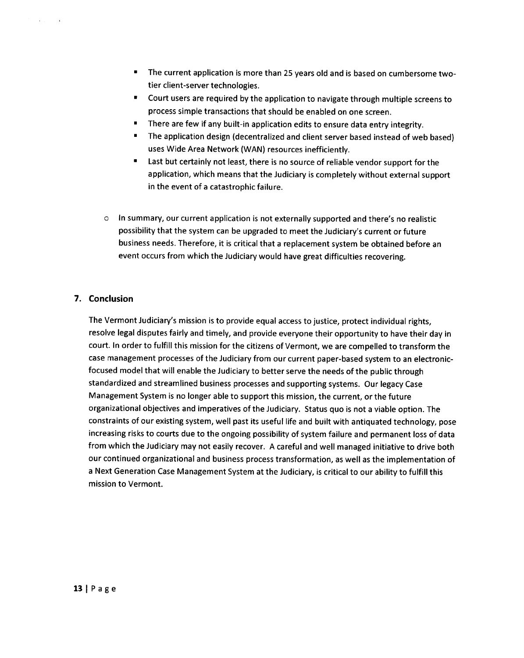- The current application is more than 25 years old and is based on cumbersome twotier client-server technologies.
- Court users are required by the application to navigate through multiple screens to process simple transactions that should be enabled on one screen.
- There are few if any built-in application edits to ensure data entry integrity.
- The application design (decentralized and client server based instead of web based) uses Wide Area Network (WAN) resources inefficiently.
- Last but certainly not least, there is no source of reliable vendor support for the application, which means that the Judiciary is completely without external support in the event of a catastrophic failure.
- o In summary, our current application is not externally supported and there's no realistic possibility that the system can be upgraded to meet the Judiciary's current or future business needs. Therefore, it is critical that a replacement system be obtained before an event occurs from which the Judiciary would have great difficulties recovering.

### **7. Conclusion**

The Vermont Judiciary's mission is to provide equal access to justice, protect individual rights, resolve legal disputes fairly and timely, and provide everyone their opportunity to have their day in court. In order to fulfill this mission for the citizens of Vermont, we are compelled to transform the case management processes of the Judiciary from our current paper-based system to an electronicfocused model that will enable the Judiciary to better serve the needs of the public through standardized and streamlined business processes and supporting systems. Our legacy Case Management System is no longer able to support this mission, the current, or the future organizational objectives and imperatives of the Judiciary. Status quo is not a viable option. The constraints of our existing system, well past its useful life and built with antiquated technology, pose increasing risks to courts due to the ongoing possibility of system failure and permanent loss of data from which the Judiciary may not easily recover. A careful and well managed initiative to drive both our continued organizational and business process transformation, as well as the implementation of a Next Generation Case Management System at the Judiciary, is critical to our ability to fulfill this mission to Vermont.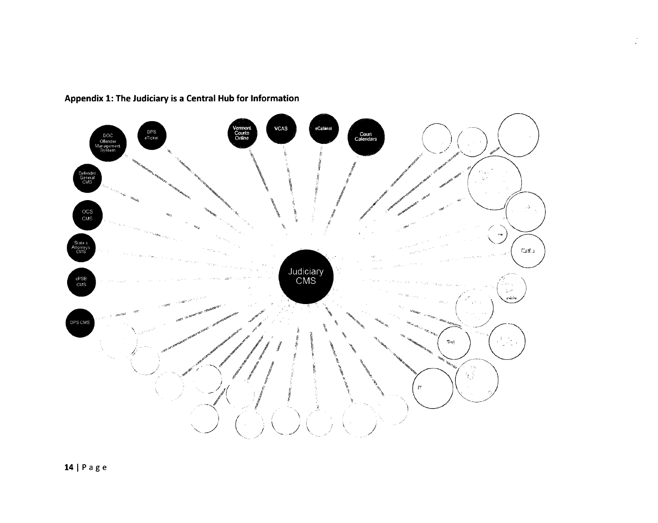

## **Appendix 1: The Judiciary is a Central Hub for Information**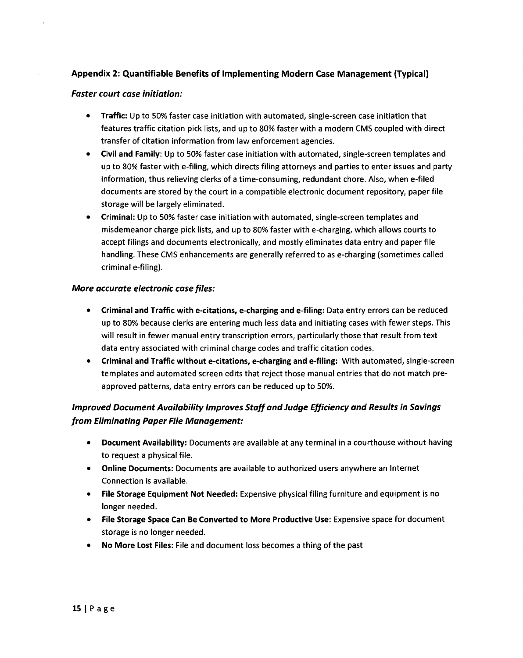### **Appendix 2: Quantifiable Benefits of Implementing Modern Case Management (Typical)**

### **Faster court case initiation:**

- Traffic: Up to 50% faster case initiation with automated, single-screen case initiation that features traffic citation pick lists, and up to 80% faster with a modern CMS coupled with direct transfer of citation information from law enforcement agencies.
- **Civil and Family: Up** to 50% faster case initiation with automated, single-screen templates and up to 80% faster with e-filing, which directs filing attorneys and parties to enter issues and party information, thus relieving clerks of a time-consuming, redundant chore. Also, when e-filed documents are stored by the court in a compatible electronic document repository, paper file storage will be largely eliminated.
- **Criminal:** Up to 50% faster case initiation with automated, single-screen templates and misdemeanor charge pick lists, and up to 80% faster with e-charging, which allows courts to accept filings and documents electronically, and mostly eliminates data entry and paper file handling. These CMS enhancements are generally referred to as e-charging (sometimes called criminal e-filing).

### **More accurate electronic case files:**

- **Criminal and Traffic with e-citations, e-charging and e-filing:** Data entry errors can be reduced up to 80% because clerks are entering much less data and initiating cases with fewer steps. This will result in fewer manual entry transcription errors, particularly those that result from text data entry associated with criminal charge codes and traffic citation codes.
- **Criminal and Traffic without e-citations, e-charging and e-filing:** With automated, single-screen templates and automated screen edits that reject those manual entries that do not match preapproved patterns, data entry errors can be reduced up to 50%.

### **Improved Document Availability Improves Staff and Judge Efficiency and Results in Savings from Eliminating Paper File Management:**

- **Document Availability:** Documents are available at any terminal in a courthouse without having to request a physical file.
- **Online Documents:** Documents are available to authorized users anywhere an Internet Connection is available.
- **File Storage Equipment Not Needed:** Expensive physical filing furniture and equipment is no longer needed.
- **File Storage Space Can Be Converted to More Productive Use:** Expensive space for document storage is no longer needed.
- **No More Lost Files:** File and document loss becomes a thing of the past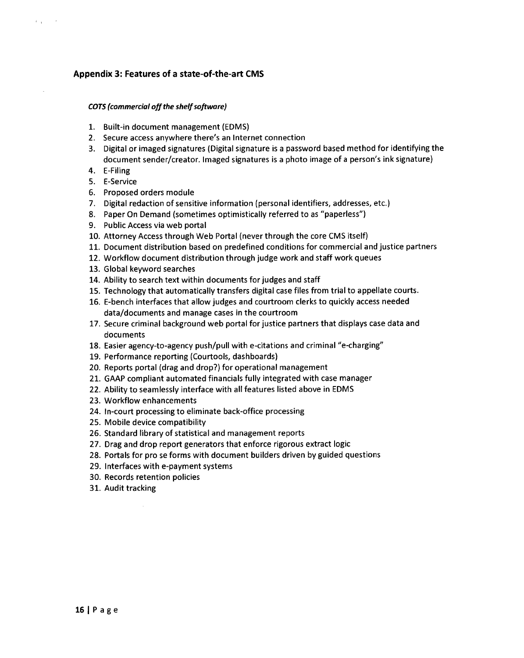### **Appendix 3: Features of a state-of-the-art CMS**

#### *COTS (commercial off the shelf software)*

- 1. Built-in document management (EDMS)
- 2. Secure access anywhere there's an Internet connection
- 3. Digital or imaged signatures (Digital signature is a password based method for identifying the document sender/creator. Imaged signatures is a photo image of a person's ink signature)
- 4. E-Filing

 $C_{\rm{max}}$ 

- 5. E-Service
- 6. Proposed orders module
- 7. Digital redaction of sensitive information (personal identifiers, addresses, etc.)
- 8. Paper On Demand (sometimes optimistically referred to as "paperless")
- 9. Public Access via web portal
- 10. Attorney Access through Web Portal (never through the core CMS itself)
- 11. Document distribution based on predefined conditions for commercial and justice partners
- 12. Workflow document distribution through judge work and staff work queues
- 13. Global keyword searches
- 14. Ability to search text within documents for judges and staff
- 15. Technology that automatically transfers digital case files from trial to appellate courts.
- 16. E-bench interfaces that allow judges and courtroom clerks to quickly access needed data/documents and manage cases in the courtroom
- 17. Secure criminal background web portal for justice partners that displays case data and documents
- 18. Easier agency-to-agency push/pull with e-citations and criminal "e-charging"
- 19. Performance reporting (Courtools, dashboards)
- 20. Reports portal (drag and drop?) for operational management
- 21. GAAP compliant automated financials fully integrated with case manager
- 22. Ability to seamlessly interface with all features listed above in EDMS
- 23. Workflow enhancements
- 24. In-court processing to eliminate back-office processing
- 25. Mobile device compatibility
- 26. Standard library of statistical and management reports
- 27. Drag and drop report generators that enforce rigorous extract logic
- 28. Portals for pro se forms with document builders driven by guided questions
- 29. Interfaces with e-payment systems
- 30. Records retention policies
- 31. Audit tracking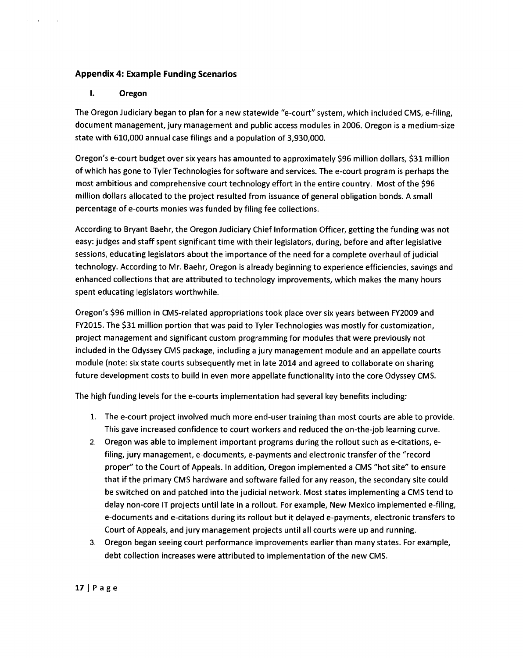### **Appendix 4: Example Funding Scenarios**

### **I. Oregon**

 $\alpha = \alpha$ 

The Oregon Judiciary began to plan for a new statewide "e-court" system, which included CMS, e-filing, document management, jury management and public access modules in 2006. Oregon is a medium-size state with 610,000 annual case filings and a population of 3,930,000.

Oregon's e-court budget over six years has amounted to approximately \$96 million dollars, \$31 million of which has gone to Tyler Technologies for software and services. The e-court program is perhaps the most ambitious and comprehensive court technology effort in the entire country. Most of the \$96 million dollars allocated to the project resulted from issuance of general obligation bonds. A small percentage of e-courts monies was funded by filing fee collections.

According to Bryant Baehr, the Oregon Judiciary Chief Information Officer, getting the funding was not easy: judges and staff spent significant time with their legislators, during, before and after legislative sessions, educating legislators about the importance of the need for a complete overhaul of judicial technology. According to Mr. Baehr, Oregon is already beginning to experience efficiencies, savings and enhanced collections that are attributed to technology improvements, which makes the many hours spent educating legislators worthwhile.

Oregon's \$96 million in CMS-related appropriations took place over six years between FY2009 and FY2015. The \$31 million portion that was paid to Tyler Technologies was mostly for customization, project management and significant custom programming for modules that were previously not included in the Odyssey CMS package, including a jury management module and an appellate courts module (note: six state courts subsequently met in late 2014 and agreed to collaborate on sharing future development costs to build in even more appellate functionality into the core Odyssey CMS.

The high funding levels for the e-courts implementation had several key benefits including:

- 1. The e-court project involved much more end-user training than most courts are able to provide. This gave increased confidence to court workers and reduced the on-the-job learning curve.
- 2. Oregon was able to implement important programs during the rollout such as e-citations, efiling, jury management, e-documents, e-payments and electronic transfer of the "record proper" to the Court of Appeals. In addition, Oregon implemented a CMS "hot site" to ensure that if the primary CMS hardware and software failed for any reason, the secondary site could be switched on and patched into the judicial network. Most states implementing a CMS tend to delay non-core IT projects until late in a rollout. For example, New Mexico implemented e-filing, e-documents and e-citations during its rollout but it delayed e-payments, electronic transfers to Court of Appeals, and jury management projects until all courts were up and running.
- 3. Oregon began seeing court performance improvements earlier than many states. For example, debt collection increases were attributed to implementation of the new CMS.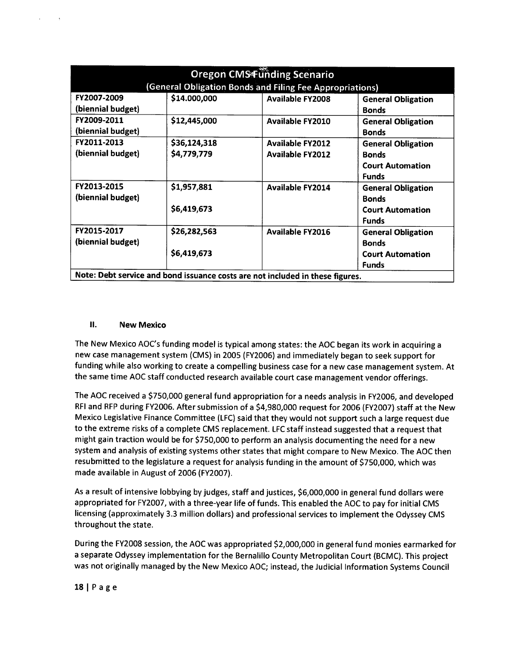| <b>Oregon CMS Funding Scenario</b>                                            |              |                         |                           |
|-------------------------------------------------------------------------------|--------------|-------------------------|---------------------------|
| (General Obligation Bonds and Filing Fee Appropriations)                      |              |                         |                           |
| FY2007-2009                                                                   | \$14.000,000 | <b>Available FY2008</b> | <b>General Obligation</b> |
| (biennial budget)                                                             |              |                         | <b>Bonds</b>              |
| FY2009-2011                                                                   | \$12,445,000 | <b>Available FY2010</b> | <b>General Obligation</b> |
| (biennial budget)                                                             |              |                         | <b>Bonds</b>              |
| FY2011-2013                                                                   | \$36,124,318 | <b>Available FY2012</b> | <b>General Obligation</b> |
| (biennial budget)                                                             | \$4,779,779  | <b>Available FY2012</b> | <b>Bonds</b>              |
|                                                                               |              |                         | <b>Court Automation</b>   |
|                                                                               |              |                         | <b>Funds</b>              |
| FY2013-2015                                                                   | \$1,957,881  | <b>Available FY2014</b> | <b>General Obligation</b> |
| (biennial budget)                                                             |              |                         | <b>Bonds</b>              |
|                                                                               | \$6,419,673  |                         | <b>Court Automation</b>   |
|                                                                               |              |                         | <b>Funds</b>              |
| FY2015-2017                                                                   | \$26,282,563 | <b>Available FY2016</b> | <b>General Obligation</b> |
| (biennial budget)                                                             |              |                         | <b>Bonds</b>              |
|                                                                               | \$6,419,673  |                         | <b>Court Automation</b>   |
|                                                                               |              |                         | <b>Funds</b>              |
| Note: Debt service and bond issuance costs are not included in these figures. |              |                         |                           |

#### Ⅱ. **New Mexico**

The New Mexico AOC's funding model is typical among states: the AOC began its work in acquiring a new case management system (CMS) in 2005 (FY2006) and immediately began to seek support for funding while also working to create a compelling business case for a new case management system. At the same time AOC staff conducted research available court case management vendor offerings.

The AOC received a \$750,000 general fund appropriation for a needs analysis in FY2006, and developed RFI and RFP during FY2006. After submission of a \$4,980,000 request for 2006 (FY2007) staff at the New Mexico Legislative Finance Committee (LFC) said that they would not support such a large request due to the extreme risks of a complete CMS replacement. LFC staff instead suggested that a request that might gain traction would be for \$750,000 to perform an analysis documenting the need for a new system and analysis of existing systems other states that might compare to New Mexico. The AOC then resubmitted to the legislature a request for analysis funding in the amount of \$750,000, which was made available in August of 2006 (FY2007).

As a result of intensive lobbying by judges, staff and justices, \$6,000,000 in general fund dollars were appropriated for FY2007, with a three-year life of funds. This enabled the AOC to pay for initial CMS licensing (approximately 3.3 million dollars) and professional services to implement the Odyssey CMS throughout the state.

During the FY2008 session, the AOC was appropriated \$2,000,000 in general fund monies earmarked for a separate Odyssey implementation for the Bernalillo County Metropolitan Court (BCMC). This project was not originally managed by the New Mexico AOC; instead, the Judicial Information Systems Council

### **18 1Page**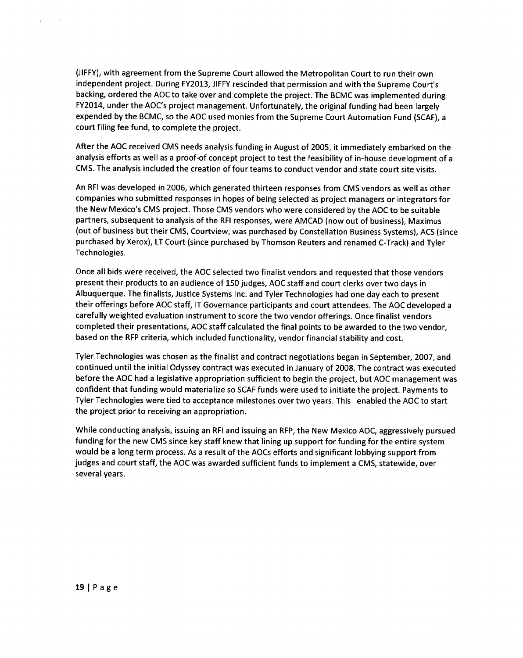(JIFFY), with agreement from the Supreme Court allowed the Metropolitan Court to run their own independent project. During FY2013, JIFFY rescinded that permission and with the Supreme Court's backing, ordered the AOC to take over and complete the project. The BCMC was implemented during FY2014, under the AOC's project management. Unfortunately, the original funding had been largely expended by the BCMC, so the AOC used monies from the Supreme Court Automation Fund (SCAF), a court filing fee fund, to complete the project.

After the AOC received CMS needs analysis funding in August of 2005, it immediately embarked on the analysis efforts as well as a proof-of concept project to test the feasibility of in-house development of a CMS. The analysis included the creation of four teams to conduct vendor and state court site visits.

An RFI was developed in 2006, which generated thirteen responses from CMS vendors as well as other companies who submitted responses in hopes of being selected as project managers or integrators for the New Mexico's CMS project. Those CMS vendors who were considered by the AOC to be suitable partners, subsequent to analysis of the RFI responses, were AMCAD (now out of business), Maximus (out of business but their CMS, Courtview, was purchased by Constellation Business Systems), ACS (since purchased by Xerox), LT Court (since purchased by Thomson Reuters and renamed C-Track) and Tyler Technologies.

Once all bids were received, the AOC selected two finalist vendors and requested that those vendors present their products to an audience of 150 judges, AOC staff and court clerks over two days in Albuquerque. The finalists, Justice Systems Inc. and Tyler Technologies had one day each to present their offerings before AOC staff, IT Governance participants and court attendees. The AOC developed a carefully weighted evaluation instrument to score the two vendor offerings. Once finalist vendors completed their presentations, AOC staff calculated the final points to be awarded to the two vendor, based on the RFP criteria, which included functionality, vendor financial stability and cost.

Tyler Technologies was chosen as the finalist and contract negotiations began in September, 2007, and continued until the initial Odyssey contract was executed in January of 2008. The contract was executed before the AOC had a legislative appropriation sufficient to begin the project, but AOC management was confident that funding would materialize so SCAF funds were used to initiate the project. Payments to Tyler Technologies were tied to acceptance milestones over two years. This enabled the AOC to start the project prior to receiving an appropriation.

While conducting analysis, issuing an RFI and issuing an RFP, the New Mexico AOC, aggressively pursued funding for the new CMS since key staff knew that lining up support for funding for the entire system would be a long term process. As a result of the AOCs efforts and significant lobbying support from judges and court staff, the AOC was awarded sufficient funds to implement a CMS, statewide, over several years.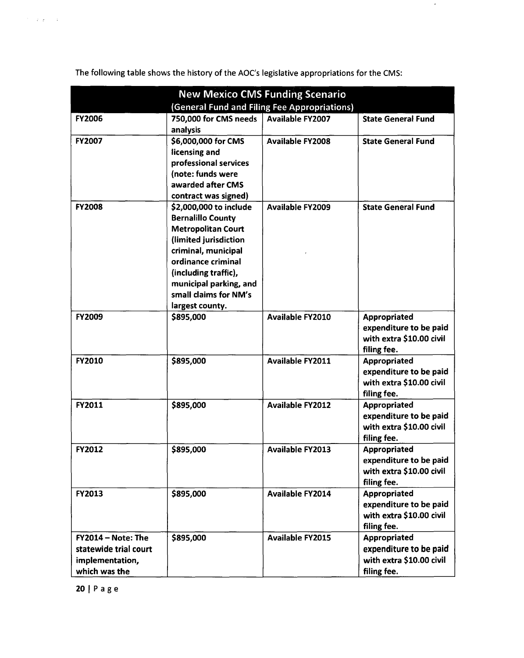| <b>New Mexico CMS Funding Scenario</b>                                          |                                                                                                                                                                                                                                                     |                         |                                                                                          |
|---------------------------------------------------------------------------------|-----------------------------------------------------------------------------------------------------------------------------------------------------------------------------------------------------------------------------------------------------|-------------------------|------------------------------------------------------------------------------------------|
| (General Fund and Filing Fee Appropriations)                                    |                                                                                                                                                                                                                                                     |                         |                                                                                          |
| <b>FY2006</b>                                                                   | 750,000 for CMS needs<br>analysis                                                                                                                                                                                                                   | <b>Available FY2007</b> | <b>State General Fund</b>                                                                |
| <b>FY2007</b>                                                                   | \$6,000,000 for CMS<br>licensing and<br>professional services<br>(note: funds were<br>awarded after CMS<br>contract was signed)                                                                                                                     | <b>Available FY2008</b> | <b>State General Fund</b>                                                                |
| <b>FY2008</b>                                                                   | \$2,000,000 to include<br><b>Bernalillo County</b><br><b>Metropolitan Court</b><br>(limited jurisdiction<br>criminal, municipal<br>ordinance criminal<br>(including traffic),<br>municipal parking, and<br>small claims for NM's<br>largest county. | <b>Available FY2009</b> | <b>State General Fund</b>                                                                |
| <b>FY2009</b>                                                                   | \$895,000                                                                                                                                                                                                                                           | <b>Available FY2010</b> | Appropriated<br>expenditure to be paid<br>with extra \$10.00 civil<br>filing fee.        |
| <b>FY2010</b>                                                                   | \$895,000                                                                                                                                                                                                                                           | <b>Available FY2011</b> | <b>Appropriated</b><br>expenditure to be paid<br>with extra \$10.00 civil<br>filing fee. |
| FY2011                                                                          | \$895,000                                                                                                                                                                                                                                           | <b>Available FY2012</b> | <b>Appropriated</b><br>expenditure to be paid<br>with extra \$10.00 civil<br>filing fee. |
| <b>FY2012</b>                                                                   | \$895,000                                                                                                                                                                                                                                           | <b>Available FY2013</b> | <b>Appropriated</b><br>expenditure to be paid<br>with extra \$10.00 civil<br>filing fee. |
| FY2013                                                                          | \$895,000                                                                                                                                                                                                                                           | <b>Available FY2014</b> | Appropriated<br>expenditure to be paid<br>with extra \$10.00 civil<br>filing fee.        |
| FY2014 - Note: The<br>statewide trial court<br>implementation,<br>which was the | \$895,000                                                                                                                                                                                                                                           | <b>Available FY2015</b> | Appropriated<br>expenditure to be paid<br>with extra \$10.00 civil<br>filing fee.        |

The following table shows the history of the AOC's legislative appropriations for the CMS:

 $\mathcal{A}$ 

20 | P a g e

 $\mathcal{O}(\log n_{\rm eff}) \sim 30$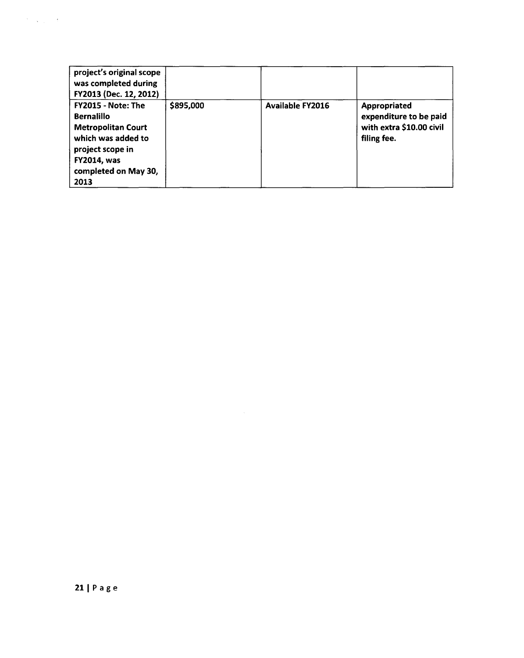| project's original scope<br>was completed during<br>FY2013 (Dec. 12, 2012)                                                                                           |           |                         |                                                                                   |
|----------------------------------------------------------------------------------------------------------------------------------------------------------------------|-----------|-------------------------|-----------------------------------------------------------------------------------|
| FY2015 - Note: The<br><b>Bernalillo</b><br><b>Metropolitan Court</b><br>which was added to<br>project scope in<br><b>FY2014, was</b><br>completed on May 30,<br>2013 | \$895,000 | <b>Available FY2016</b> | Appropriated<br>expenditure to be paid<br>with extra \$10.00 civil<br>filing fee. |

 $\mathcal{O}(\log n)$  ,  $\mathcal{O}(\log n)$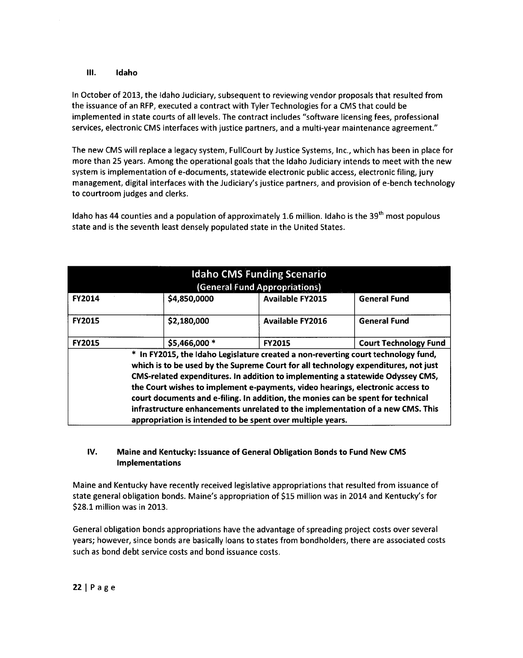### **III. Idaho**

In October of 2013, the Idaho Judiciary, subsequent to reviewing vendor proposals that resulted from the issuance of an RFP, executed a contract with Tyler Technologies for a CMS that could be implemented in state courts of all levels. The contract includes "software licensing fees, professional services, electronic CMS interfaces with justice partners, and a multi-year maintenance agreement."

The new CMS will replace a legacy system, FullCourt by Justice Systems, Inc., which has been in place for more than 25 years. Among the operational goals that the Idaho Judiciary intends to meet with the new system is implementation of e-documents, statewide electronic public access, electronic filing, jury management, digital interfaces with the Judiciary's justice partners, and provision of e-bench technology to courtroom judges and clerks.

Idaho has 44 counties and a population of approximately 1.6 million. Idaho is the 39<sup>th</sup> most populous state and is the seventh least densely populated state in the United States.

| <b>Idaho CMS Funding Scenario</b><br>(General Fund Appropriations)                                                                                                                                                                                                                                                                                                                                                                                                                                                                                                              |               |                         |                              |
|---------------------------------------------------------------------------------------------------------------------------------------------------------------------------------------------------------------------------------------------------------------------------------------------------------------------------------------------------------------------------------------------------------------------------------------------------------------------------------------------------------------------------------------------------------------------------------|---------------|-------------------------|------------------------------|
| <b>FY2014</b>                                                                                                                                                                                                                                                                                                                                                                                                                                                                                                                                                                   | \$4,850,0000  | <b>Available FY2015</b> | <b>General Fund</b>          |
| <b>FY2015</b>                                                                                                                                                                                                                                                                                                                                                                                                                                                                                                                                                                   | \$2,180,000   | <b>Available FY2016</b> | <b>General Fund</b>          |
| <b>FY2015</b>                                                                                                                                                                                                                                                                                                                                                                                                                                                                                                                                                                   | \$5,466,000 * | <b>FY2015</b>           | <b>Court Technology Fund</b> |
| * In FY2015, the Idaho Legislature created a non-reverting court technology fund,<br>which is to be used by the Supreme Court for all technology expenditures, not just<br>CMS-related expenditures. In addition to implementing a statewide Odyssey CMS,<br>the Court wishes to implement e-payments, video hearings, electronic access to<br>court documents and e-filing. In addition, the monies can be spent for technical<br>infrastructure enhancements unrelated to the implementation of a new CMS. This<br>appropriation is intended to be spent over multiple years. |               |                         |                              |

### **IV. Maine and Kentucky: Issuance of General Obligation Bonds to Fund New CMS Implementations**

Maine and Kentucky have recently received legislative appropriations that resulted from issuance of state general obligation bonds. Maine's appropriation of \$15 million was in 2014 and Kentucky's for \$28.1 million was in 2013.

General obligation bonds appropriations have the advantage of spreading project costs over several years; however, since bonds are basically loans to states from bondholders, there are associated costs such as bond debt service costs and bond issuance costs.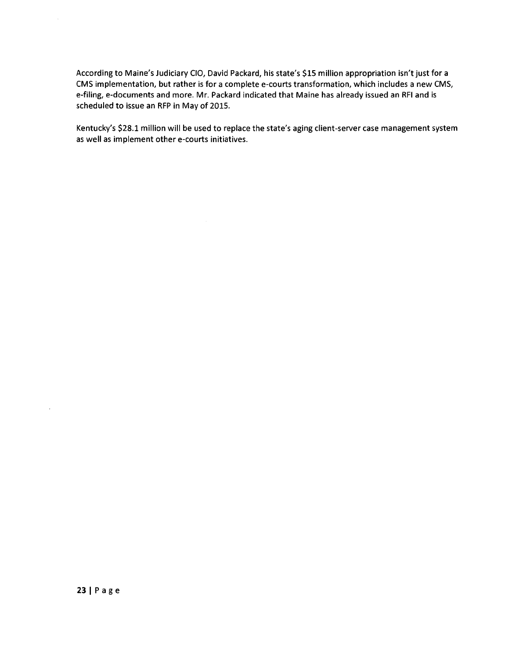According to Maine's Judiciary CIO, David Packard, his state's \$15 million appropriation isn't just for a CMS implementation, but rather is for a complete e-courts transformation, which includes a new CMS, e-filing, e-documents and more. Mr. Packard indicated that Maine has already issued an RFI and is scheduled to issue an RFP in May of 2015.

Kentucky's \$28.1 million will be used to replace the state's aging client-server case management system as well as implement other e-courts initiatives.